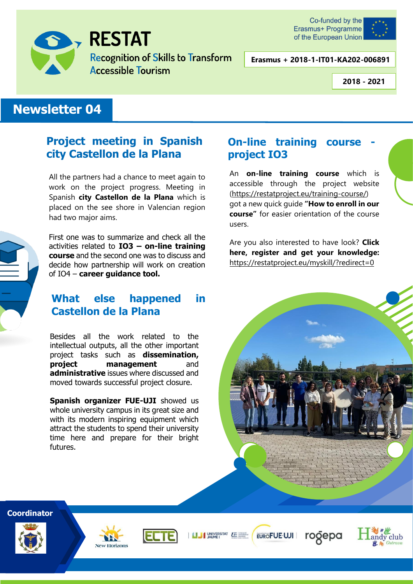

# **RESTAT**

**Recognition of Skills to Transform Accessible Tourism** 



**Erasmus + 2018-1-IT01-KA202-006891**

**2018 - 2021**

### **Newsletter 04**

### **Project meeting in Spanish city Castellon de la Plana**

All the partners had a chance to meet again to work on the project progress. Meeting in Spanish **city Castellon de la Plana** which is placed on the see shore in Valencian region had two major aims.



First one was to summarize and check all the activities related to **IO3 – on-line training course** and the second one was to discuss and decide how partnership will work on creation of IO4 – **career guidance tool.**

### **What else happened in Castellon de la Plana**

Besides all the work related to the intellectual outputs, all the other important project tasks such as **dissemination, project management** and **administrative** issues where discussed and moved towards successful project closure.

**Spanish organizer FUE-UJI** showed us whole university campus in its great size and with its modern inspiring equipment which attract the students to spend their university time here and prepare for their bright futures.

### **On-line training course project IO3**

An **on-line training course** which is accessible through the project website [\(https://restatproject.eu/training-course/\)](https://restatproject.eu/training-course/) got a new quick guide **"How to enroll in our course"** for easier orientation of the course users.

Are you also interested to have look? **Click here, register and get your knowledge:** <https://restatproject.eu/myskill/?redirect=0>



rogepa

andy club

EUROFUE-UJI

### **Coordinator**







I UNIVERSITAT LE NAME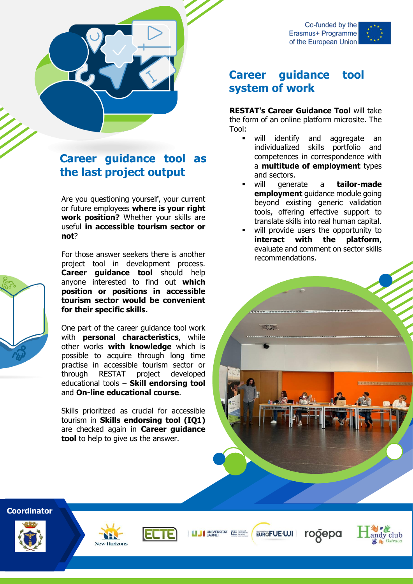

### **Career guidance tool system of work**

**RESTAT's Career Guidance Tool** will take the form of an online platform microsite. The Tool:

- will identify and aggregate an individualized skills portfolio and competences in correspondence with a **multitude of employment** types and sectors.
- will generate a **tailor-made employment** guidance module going beyond existing generic validation tools, offering effective support to translate skills into real human capital.
- will provide users the opportunity to **interact with the platform**, evaluate and comment on sector skills recommendations.





# **Career guidance tool as the last project output**

Are you questioning yourself, your current or future employees **where is your right work position?** Whether your skills are useful **in accessible tourism sector or not**?

For those answer seekers there is another project tool in development process. **Career guidance tool** should help anyone interested to find out **which position or positions in accessible tourism sector would be convenient for their specific skills.**

One part of the career guidance tool work with **personal characteristics**, while other works **with knowledge** which is possible to acquire through long time practise in accessible tourism sector or through RESTAT project developed educational tools – **Skill endorsing tool** and **On-line educational course**.

Skills prioritized as crucial for accessible tourism in **Skills endorsing tool (IQ1)** are checked again in **Career guidance tool** to help to give us the answer.

**Coordinator**







I I UNIVERSITAT LE

EUROFUE-UJI rogepa